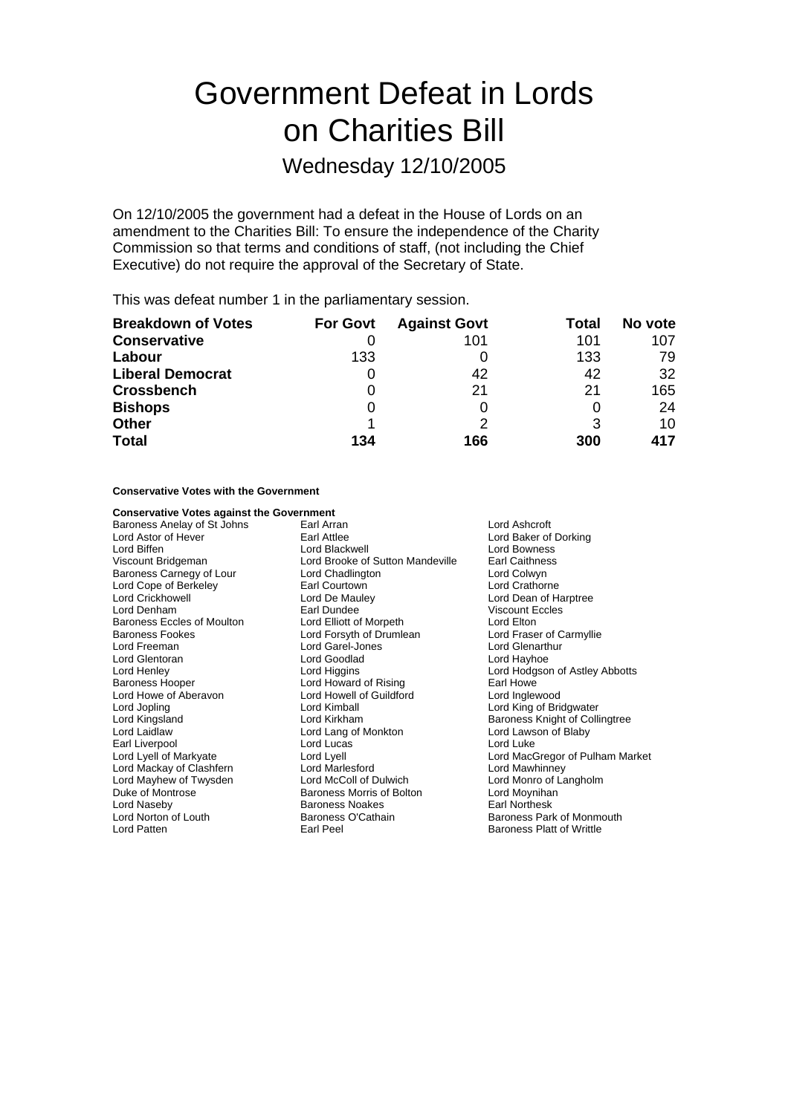# Government Defeat in Lords on Charities Bill

## Wednesday 12/10/2005

On 12/10/2005 the government had a defeat in the House of Lords on an amendment to the Charities Bill: To ensure the independence of the Charity Commission so that terms and conditions of staff, (not including the Chief Executive) do not require the approval of the Secretary of State.

This was defeat number 1 in the parliamentary session.

| <b>Breakdown of Votes</b> | <b>For Govt</b> | <b>Against Govt</b> | Total | No vote |
|---------------------------|-----------------|---------------------|-------|---------|
| <b>Conservative</b>       |                 | 101                 | 101   | 107     |
| Labour                    | 133             |                     | 133   | 79      |
| <b>Liberal Democrat</b>   | 0               | 42                  | 42    | 32      |
| <b>Crossbench</b>         | 0               | 21                  | 21    | 165     |
| <b>Bishops</b>            | 0               |                     | 0     | 24      |
| <b>Other</b>              |                 |                     | 3     | 10      |
| <b>Total</b>              | 134             | 166                 | 300   | 417     |

### **Conservative Votes with the Government**

### **Conservative Votes against the Government**

Baroness Carnegy of Lour Lord Freeman Lord Garel-Jones<br>
Lord Glentoran Lord Goodlad Lord Howe of Aberavon Earl Liverpool

Baroness Anelay of St Johns Earl Arran Lord Ashcroft Lord Astor of Hever **Earl Attlee** Earl Attlee Lord Baker of Dorking<br>
Lord Biffen **Earl Attlee** Lord Blackwell **Earl Attlee** Lord Bowness Lord Biffen **Lord Brackwell** Lord Blackwell **Lord Bowness**<br>
Viscount Bridgeman **Lord Brooke of Sutton Mandeville** Earl Caithness Lord Brooke of Sutton Mandeville Earl Caithnes<br>
Lord Chadlington Lord Colwyn Lord Cope of Berkeley **Earl Courtown**<br>
Lord Crickhowell **Earl Courtown**<br>
Lord Crickhowell **Earl Courtown** Lord Dean of H Lord Crickhowell Lord De Mauley Lord Dean of Harptree Baroness Eccles of Moulton Lord Elliott of Morpeth Lord Elton<br>
Baroness Fookes Carmyllie<br>
Lord Exercise Lord Exercise Lord Exercise Lord Exercises Carmyllie Baroness Fookes **Lord Forsyth of Drumlean** Lord Fraser of C<br>
Lord Freeman **Lord Carel**<br>
Lord Garel-Jones Lord Genarthur Lord Goodlad **Lord Hayhoe** Lord Howard of Rising Earl Howe<br>
Lord Howell of Guildford Lord Inglewood Lord Jopling Lord Kimball Lord King of Bridgwater Lord Kingsland Lord Kirkham Baroness Knight of Collingtree Lord Lang of Monkton Lord Laws<br>
Lord Lucas Lord Luke Lord Mackay of Clashfern Lord Marlesford Lord Mawhinney Duke of Montrose Baroness Morris of Bolton Lord Moynihan Lord Naseby **Baroness Noakes** Earl Northesk<br>
Lord Norton of Louth **Baroness O'Cathain** Baroness Parl Lord Norton of Louth **Baroness O'Cathain**<br>
Lord Patten **Baroness Park of Monmouth**<br>
Earl Peel **Baroness Platt of Writtle** Earl Peel **Earl Peel** Baroness Platt of Writtle

**Viscount Eccles** Lord Henley **Lord Higgins** Lord Higgins **Lord Howard Cord Hotel Cord Hodgson of Astley Abbotts**<br>
Lord Howard of Rising **Lorgins** Earl Howe Lord Lyell of Markyate Lord Lyell Lord MacGregor of Pulham Market Lord Monro of Langholm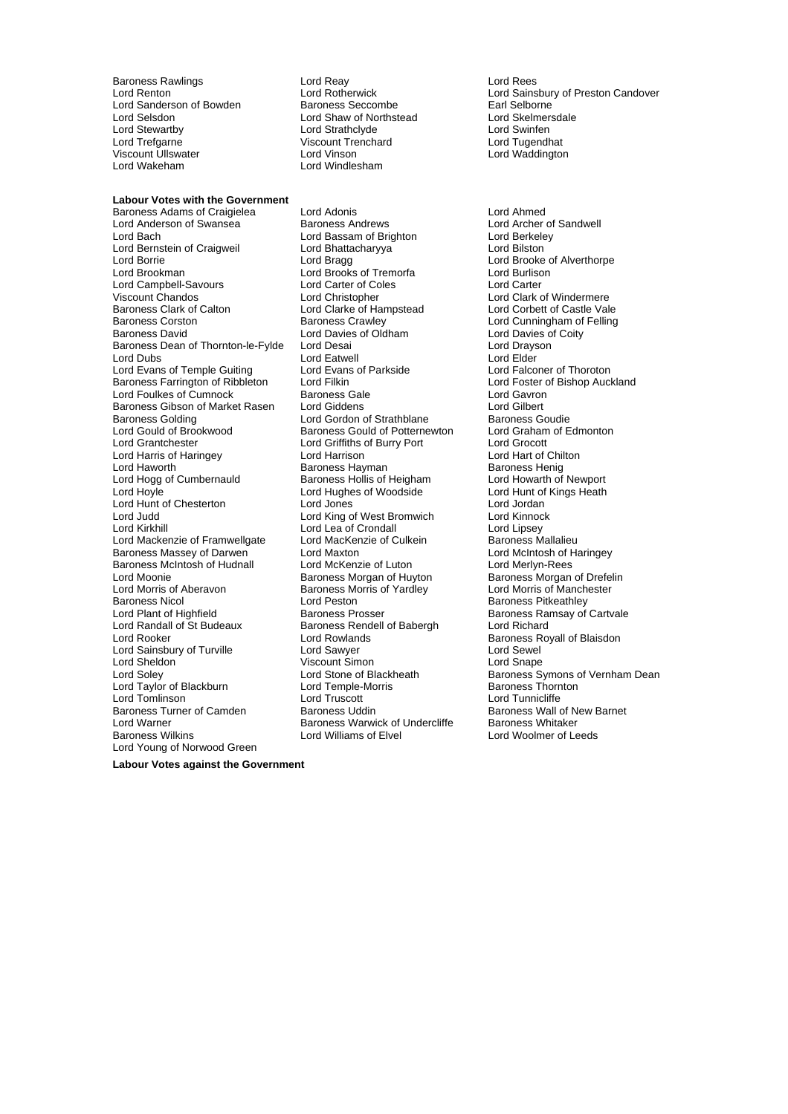Baroness Rawlings Lord Reay Lord Rees Lord Sanderson of Bowden **Baroness Seccombe** Earl Selborne **Earl Selborne**<br>
Lord Selsdon **Baroness Seccombe Earl Selborne** Earl Selmersdale Lord Selsdon **Lord Shaw of Northstead** Cord Skelmers<br>
Lord Strathclyde Lord Strathclyde Lord Sunfen Lord Stewartby **Lord Strathclyde** Lord Strathclyde Lord Swinfen<br>Lord Trefoarne **Lord Strathcline Communist Cord Strathcline** Lord Tugendhat Lord Trefgarne Viscount Trenchard<br>
Viscount Ullswater
Viscount Ullswater
Lord Vinson Viscount Ullswater Lord Vinson Lord Waddington

#### **Labour Votes with the Government**

Lord Anderson of Swansea Baroness Andrews Lord Archer of Lord Archer of Baroness Andrews Lord Berkeley Lord Bach Lord Bassam of Brighton Lord Berkele<br>
Lord Bernstein of Craigweil Lord Bhattacharyya Cord Bilston Lord Bernstein of Craigweil Lord Bhatta<br>Lord Borrie Lord Bragg Lord Borrie **Lord Bragg Lord Brooke of Alverthorpe**<br>
Lord Brookman **Lord Brooks of Tremorfa** Lord Burlison Lord Campbell-Savours Lord Carter of Coles Lord Carter Viscount Chandos **Lord Christopher** Lord Christopher Lord Clark of Windermere<br>Baroness Clark of Calton **Lord Clarke of Hampstead** Lord Corbett of Castle Vale Baroness Corston **Baroness Crawley Baroness Crawley** Lord Cunningham of Felling Baroness Corston Baroness Crawley Lord Cunningham of<br>Baroness David Lord Davies of Oldham Lord Davies of Coity<br>Baroness Dean of Thornton-le-Fylde Lord Desai Lord Drayson Lord Drayson Baroness Dean of Thornton-le-Fylde Lord Desai Lord Drays<br>Lord Dubs Lord Drayson Lord Fatwell Lord Dubs Lord Elder Lord Evans of Temple Guiting Lord Evans of Parkside Lord Ealconer of Thoroton<br>
Baroness Farrington of Ribbleton Lord Filkin Cord Example Lord Foster of Bishop Auckland Baroness Farrington of Ribbleton Lord Filkin Lord Fusting Lord Foster of Lord Foster of Baroness Gale Cord Cortexts Lord Gavron Lord Foulkes of Cumnock **Baroness Gale** Lord Gavron<br>Baroness Gibson of Market Rasen Lord Giddens **Lord Gilbert** Baroness Gibson of Market Rasen Baroness Golding The Lord Gordon of Strathblane Baroness Goudie<br>Lord Gould of Brookwood Baroness Gould of Potternewton Lord Graham of Edmonton Lord Gould of Brookwood Baroness Gould of Potternewton Lord Graham Lord Graham Cord Graham Lord Graham Cord Graham Cord Graham Cord Graham Cord Graham Cord Graham Cord Graham Cord Graham Cord Graham Cord Graham Cord Graham Lord Harris of Haringey Lord Harrison Lord Haworth **Baroness Hayman**<br>
Lord Hogg of Cumbernauld **Baroness Hollis of Heigham** Baroness Hollis of Heigham Lord Howarth of Newport Lord Hogg of Cumbernauld Baroness Hollis of Heigham Lord Howarth of Newport<br>Lord Hoyle Lord Hughes of Woodside Lord Hunt of Kings Heath Lord Hunt of Chesterton Lord Jones Lord Jordan Lord Judd<br>
Lord Kinnock Lord Kinnock Lord Lord Lord Lord Crondall<br>
Lord Kirkhill Lord Lord Lord Lord Lord Lord Lipsev Lord Mackenzie of Framwellgate Baroness Massey of Darwen Lord Maxton<br>
Baroness McIntosh of Hudnall Lord McKenzie of Luton Lord Merlyn-Rees Baroness McIntosh of Hudnall Lord McKenzie of Luton<br>Lord Moonie Cord Merlyn-Baroness Morgan of Huyton Lord Moonie **Baroness Morgan of Huyton** Baroness Morgan of Drefelin<br>1991 Lord Morris of Aberavon Baroness Morris of Yardley **Baroness Lord Morris of Manchester** Lord Morris of Aberavon **Baroness Morris of Yardley** Lord Morris of Manchester<br>Baroness Nicol **Direct Lord Peston** Corress Baroness Pitkeathley Baroness Nicol **Lord Peston** Corress Pitkeathley<br>
Lord Plant of Highfield **Baroness Prosser** Baroness Ramsay of Lord Plant of Highfield **Baroness Prosser** Baroness Ramsay of Cartvale<br>
Lord Randall of St Budeaux Baroness Rendell of Babergh Lord Richard Lord Rooker Lord Rowlands Baroness Royall of Blaisdon Lord Sainsbury of Turville **Lord Sawyer Lord Sewell** ord Sewell<br>
Lord Sheldon **Corporation** Christman Christman Lord Shape Lord Sheldon Viscount Simon<br>
Lord Sheldon Viscount Simon<br>
Lord Stone of Blackheath Lord Taylor of Blackburn Lord Tomlinson Lord Truscott Lord Tunnicliffe Lord Warner **Communist Communist Communist Communist Communist Communist Communist Communist Communist Communist Communist Communist Communist Communist Communist Communist Communist Communist Communist Communist Communist** Lord Young of Norwood Green

Lord Windlesham

Baroness Adams of Craigielea Lord Adonis<br>
Lord Anderson of Swansea Baroness Andrews Lord Archer of Sandwell Lord Brooks of Tremorfa Lord Clarke of Hampstead Lord Eatwell<br>
Lord Evans of Parkside<br>
Lord Falconer of Thoroton Lord Griffiths of Burry Port Lord Grocott<br>
Lord Harrison Lord Hart of Chilton Lord Hughes of Woodside Lord Lea of Crondall Lord Lipsey<br>
Lord MacKenzie of Culkein Baroness Mallalieu Baroness Rendell of Babergh Baroness Uddin Baroness Wall of New Barnet

Lord Rotherwick **Lord Sainsbury of Preston Candover**<br> **Earl Selborne**<br> **Earl Selborne** 

Lord Stone of Blackheath Baroness Symons of Vernham Dean<br>
Lord Temple-Morris Baroness Thornton Lord Woolmer of Leeds

**Labour Votes against the Government**